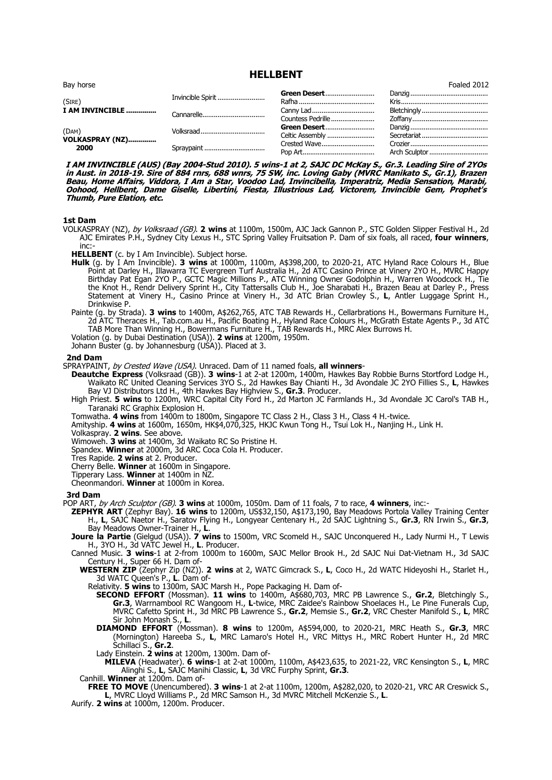| Bay horse                        |                   |                                 | Foaled 2012 |
|----------------------------------|-------------------|---------------------------------|-------------|
| (SIRE)                           | Invincible Spirit | Green Desert                    |             |
| I AM INVINCIBLE                  |                   | Countess Pedrille               | Bletchingly |
| (DAM)<br>VOLKASPRAY (NZ)<br>2000 |                   | Green Desert<br>Celtic Assembly |             |
|                                  | Spraypaint        | Crested Wave                    |             |

**HELLBENT**

**I AM INVINCIBLE (AUS) (Bay 2004-Stud 2010). 5 wins-1 at 2, SAJC DC McKay S., Gr.3. Leading Sire of 2YOs in Aust. in 2018-19. Sire of 884 rnrs, 688 wnrs, 75 SW, inc. Loving Gaby (MVRC Manikato S., Gr.1), Brazen Beau, Home Affairs, Viddora, I Am a Star, Voodoo Lad, Invincibella, Imperatriz, Media Sensation, Marabi, Oohood, Hellbent, Dame Giselle, Libertini, Fiesta, Illustrious Lad, Victorem, Invincible Gem, Prophet's Thumb, Pure Elation, etc.**

# **1st Dam**

VOLKASPRAY (NZ), by Volksraad (GB). **2 wins** at 1100m, 1500m, AJC Jack Gannon P., STC Golden Slipper Festival H., 2d AJC Emirates P.H., Sydney City Lexus H., STC Spring Valley Fruitsation P. Dam of six foals, all raced, **four winners**, inc:

**HELLBENT** (c. by I Am Invincible). Subject horse.

**Hulk** (g. by I Am Invincible). **3 wins** at 1000m, 1100m, A\$398,200, to 2020-21, ATC Hyland Race Colours H., Blue Point at Darley H., Illawarra TC Evergreen Turf Australia H., 2d ATC Casino Prince at Vinery 2YO H., MVRC Happy Birthday Pat Egan 2YO P., GCTC Magic Millions P., ATC Winning Owner Godolphin H., Warren Woodcock H., Tie the Knot H., Rendr Delivery Sprint H., City Tattersalls Club H., Joe Sharabati H., Brazen Beau at Darley P., Press Statement at Vinery H., Casino Prince at Vinery H., 3d ATC Brian Crowley S., **L**, Antler Luggage Sprint H., Drinkwise P.

Painte (g. by Strada). **3 wins** to 1400m, A\$262,765, ATC TAB Rewards H., Cellarbrations H., Bowermans Furniture H., 2d ATC Theraces H., Tab.com.au H., Pacific Boating H., Hyland Race Colours H., McGrath Estate Agents P., 3d ATC TAB More Than Winning H., Bowermans Furniture H., TAB Rewards H., MRC Alex Burrows H.

Volation (g. by Dubai Destination (USA)). **2 wins** at 1200m, 1950m.

Johann Buster (g. by Johannesburg (USA)). Placed at 3.

**2nd Dam**

SPRAYPAINT, by Crested Wave (USA). Unraced. Dam of 11 named foals, **all winners**-

**Deautche Express** (Volksraad (GB)). **3 wins**-1 at 2-at 1200m, 1400m, Hawkes Bay Robbie Burns Stortford Lodge H., Waikato RC United Cleaning Services 3YO S., 2d Hawkes Bay Chianti H., 3d Avondale JC 2YO Fillies S., **L**, Hawkes Bay VJ Distributors Ltd H., 4th Hawkes Bay Highview S., **Gr.3**. Producer.

High Priest. **5 wins** to 1200m, WRC Capital City Ford H., 2d Marton JC Farmlands H., 3d Avondale JC Carol's TAB H., Taranaki RC Graphix Explosion H.

Tomwatha. **4 wins** from 1400m to 1800m, Singapore TC Class 2 H., Class 3 H., Class 4 H.-twice.

Amityship. **4 wins** at 1600m, 1650m, HK\$4,070,325, HKJC Kwun Tong H., Tsui Lok H., Nanjing H., Link H.

Volkaspray. **2 wins**. See above.

Wimoweh. **3 wins** at 1400m, 3d Waikato RC So Pristine H.

Spandex. **Winner** at 2000m, 3d ARC Coca Cola H. Producer.

Tres Rapide. **2 wins** at 2. Producer.

Cherry Belle. **Winner** at 1600m in Singapore.

Tipperary Lass. **Winner** at 1400m in NZ.

Cheonmandori. **Winner** at 1000m in Korea.

**3rd Dam**

POP ART, by Arch Sculptor (GB). **3 wins** at 1000m, 1050m. Dam of 11 foals, 7 to race, **4 winners**, inc:-

**ZEPHYR ART** (Zephyr Bay). **16 wins** to 1200m, US\$32,150, A\$173,190, Bay Meadows Portola Valley Training Center H., **L**, SAJC Naetor H., Saratov Flying H., Longyear Centenary H., 2d SAJC Lightning S., **Gr.3**, RN Irwin S., **Gr.3**, Bay Meadows Owner-Trainer H., **L**.

**Joure la Partie** (Gielgud (USA)). **7 wins** to 1500m, VRC Scomeld H., SAJC Unconquered H., Lady Nurmi H., T Lewis H., 3YO H., 3d VATC Jewel H., **L**. Producer.

Canned Music. **3 wins**-1 at 2-from 1000m to 1600m, SAJC Mellor Brook H., 2d SAJC Nui Dat-Vietnam H., 3d SAJC Century H., Super 66 H. Dam of-

**WESTERN ZIP** (Zephyr Zip (NZ)). **2 wins** at 2, WATC Gimcrack S., **L**, Coco H., 2d WATC Hideyoshi H., Starlet H., 3d WATC Queen's P., **L**. Dam of-

Relativity. **5 wins** to 1300m, SAJC Marsh H., Pope Packaging H. Dam of-

**SECOND EFFORT** (Mossman). **11 wins** to 1400m, A\$680,703, MRC PB Lawrence S., **Gr.2**, Bletchingly S., **Gr.3**, Warrnambool RC Wangoom H., **L**-twice, MRC Zaidee's Rainbow Shoelaces H., Le Pine Funerals Cup, MVRC Cafetto Sprint H., 3d MRC PB Lawrence S., **Gr.2**, Memsie S., **Gr.2**, VRC Chester Manifold S., **L**, MRC Sir John Monash S., **L**.

**DIAMOND EFFORT** (Mossman). **8 wins** to 1200m, A\$594,000, to 2020-21, MRC Heath S., **Gr.3**, MRC (Mornington) Hareeba S., **L**, MRC Lamaro's Hotel H., VRC Mittys H., MRC Robert Hunter H., 2d MRC Schillaci S., **Gr.2**.

Lady Einstein. **2 wins** at 1200m, 1300m. Dam of-

**MILEVA** (Headwater). **6 wins**-1 at 2-at 1000m, 1100m, A\$423,635, to 2021-22, VRC Kensington S., **L**, MRC Alinghi S., **L**, SAJC Manihi Classic, **L**, 3d VRC Furphy Sprint, **Gr.3**.

Canhill. **Winner** at 1200m. Dam of-

**FREE TO MOVE** (Unencumbered). **3 wins**-1 at 2-at 1100m, 1200m, A\$282,020, to 2020-21, VRC AR Creswick S., **L**, MVRC Lloyd Williams P., 2d MRC Samson H., 3d MVRC Mitchell McKenzie S., **L**.

Aurify. **2 wins** at 1000m, 1200m. Producer.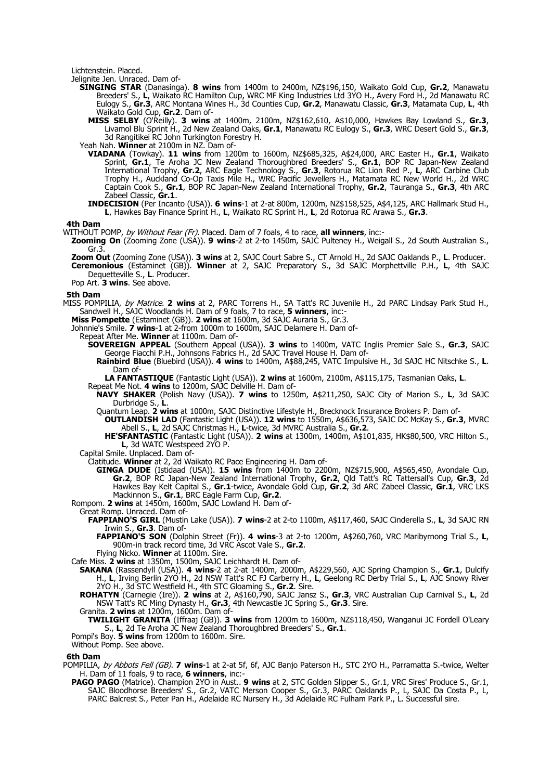Lichtenstein. Placed.

Jelignite Jen. Unraced. Dam of-

- **SINGING STAR** (Danasinga). **8 wins** from 1400m to 2400m, NZ\$196,150, Waikato Gold Cup, **Gr.2**, Manawatu Breeders' S., **L**, Waikato RC Hamilton Cup, WRC MF King Industries Ltd 3YO H., Avery Ford H., 2d Manawatu RC Eulogy S., **Gr.3**, ARC Montana Wines H., 3d Counties Cup, **Gr.2**, Manawatu Classic, **Gr.3**, Matamata Cup, **L**, 4th Waikato Gold Cup, **Gr.2**. Dam of-
	- **MISS SELBY** (O'Reilly). **3 wins** at 1400m, 2100m, NZ\$162,610, A\$10,000, Hawkes Bay Lowland S., **Gr.3**, Livamol Blu Sprint H., 2d New Zealand Oaks, **Gr.1**, Manawatu RC Eulogy S., **Gr.3**, WRC Desert Gold S., **Gr.3**, 3d Rangitikei RC John Turkington Forestry H.

Yeah Nah. **Winner** at 2100m in NZ. Dam of-

- **VIADANA** (Towkay). **11 wins** from 1200m to 1600m, NZ\$685,325, A\$24,000, ARC Easter H., **Gr.1**, Waikato Sprint, **Gr.1**, Te Aroha JC New Zealand Thoroughbred Breeders' S., **Gr.1**, BOP RC Japan-New Zealand International Trophy, **Gr.2**, ARC Eagle Technology S., **Gr.3**, Rotorua RC Lion Red P., **L**, ARC Carbine Club Trophy H., Auckland Co-Op Taxis Mile H., WRC Pacific Jewellers H., Matamata RC New World H., 2d WRC Captain Cook S., **Gr.1**, BOP RC Japan-New Zealand International Trophy, **Gr.2**, Tauranga S., **Gr.3**, 4th ARC Zabeel Classic, **Gr.1**.
- **INDECISION** (Per Incanto (USA)). **6 wins**-1 at 2-at 800m, 1200m, NZ\$158,525, A\$4,125, ARC Hallmark Stud H., **L**, Hawkes Bay Finance Sprint H., **L**, Waikato RC Sprint H., **L**, 2d Rotorua RC Arawa S., **Gr.3**.

## **4th Dam**

WITHOUT POMP, by Without Fear (Fr). Placed. Dam of 7 foals, 4 to race, **all winners**, inc:-

- **Zooming On** (Zooming Zone (USA)). **9 wins**-2 at 2-to 1450m, SAJC Pulteney H., Weigall S., 2d South Australian S., Gr.3
- **Zoom Out** (Zooming Zone (USA)). **3 wins** at 2, SAJC Court Sabre S., CT Arnold H., 2d SAJC Oaklands P., **L**. Producer. **Ceremonious** (Estaminet (GB)). **Winner** at 2, SAJC Preparatory S., 3d SAJC Morphettville P.H., **L**, 4th SAJC Dequetteville S., **L**. Producer.

Pop Art. **3 wins**. See above.

## **5th Dam**

MISS POMPILIA, by Matrice. **2 wins** at 2, PARC Torrens H., SA Tatt's RC Juvenile H., 2d PARC Lindsay Park Stud H., Sandwell H., SAJC Woodlands H. Dam of 9 foals, 7 to race, **5 winners**, inc:-

**Miss Pompette** (Estaminet (GB)). **2 wins** at 1600m, 3d SAJC Auraria S., Gr.3.

Johnnie's Smile. **7 wins**-1 at 2-from 1000m to 1600m, SAJC Delamere H. Dam of-

Repeat After Me. **Winner** at 1100m. Dam of-

**SOVEREIGN APPEAL** (Southern Appeal (USA)). **3 wins** to 1400m, VATC Inglis Premier Sale S., **Gr.3**, SAJC George Fiacchi P.H., Johnsons Fabrics H., 2d SAJC Travel House H. Dam of-

**Rainbird Blue** (Bluebird (USA)). **4 wins** to 1400m, A\$88,245, VATC Impulsive H., 3d SAJC HC Nitschke S., **L**. Dam of-

**LA FANTASTIQUE** (Fantastic Light (USA)). **2 wins** at 1600m, 2100m, A\$115,175, Tasmanian Oaks, **L**.

Repeat Me Not. **4 wins** to 1200m, SAJC Delville H. Dam of-

**NAVY SHAKER** (Polish Navy (USA)). **7 wins** to 1250m, A\$211,250, SAJC City of Marion S., **L**, 3d SAJC Durbridge S., **L**.

Quantum Leap. **2 wins** at 1000m, SAJC Distinctive Lifestyle H., Brecknock Insurance Brokers P. Dam of-

- **OUTLANDISH LAD** (Fantastic Light (USA)). **12 wins** to 1550m, A\$636,573, SAJC DC McKay S., **Gr.3**, MVRC Abell S., **L**, 2d SAJC Christmas H., **L**-twice, 3d MVRC Australia S., **Gr.2**.
- **HE'SFANTASTIC** (Fantastic Light (USA)). **2 wins** at 1300m, 1400m, A\$101,835, HK\$80,500, VRC Hilton S., **L**, 3d WATC Westspeed 2YO P.

Capital Smile. Unplaced. Dam of-

Clatitude. **Winner** at 2, 2d Waikato RC Pace Engineering H. Dam of-

**GINGA DUDE** (Istidaad (USA)). **15 wins** from 1400m to 2200m, NZ\$715,900, A\$565,450, Avondale Cup, **Gr.2**, BOP RC Japan-New Zealand International Trophy, **Gr.2**, Qld Tatt's RC Tattersall's Cup, **Gr.3**, 2d Hawkes Bay Kelt Capital S., **Gr.1**-twice, Avondale Gold Cup, **Gr.2**, 3d ARC Zabeel Classic, **Gr.1**, VRC LKS Mackinnon S., **Gr.1**, BRC Eagle Farm Cup, **Gr.2**.

Rompom. **2 wins** at 1450m, 1600m, SAJC Lowland H. Dam of-

# Great Romp. Unraced. Dam of-

- **FAPPIANO'S GIRL** (Mustin Lake (USA)). **7 wins**-2 at 2-to 1100m, A\$117,460, SAJC Cinderella S., **L**, 3d SAJC RN Irwin S., **Gr.3**. Dam of-
	- **FAPPIANO'S SON** (Dolphin Street (Fr)). **4 wins**-3 at 2-to 1200m, A\$260,760, VRC Maribyrnong Trial S., **L**, 900m-in track record time, 3d VRC Ascot Vale S., **Gr.2**.

Flying Nicko. **Winner** at 1100m. Sire.

Cafe Miss. **2 wins** at 1350m, 1500m, SAJC Leichhardt H. Dam of-

**SAKANA** (Rassendyll (USA)). **4 wins**-2 at 2-at 1400m, 2000m, A\$229,560, AJC Spring Champion S., **Gr.1**, Dulcify H., **L**, Irving Berlin 2YO H., 2d NSW Tatt's RC FJ Carberry H., **L**, Geelong RC Derby Trial S., **L**, AJC Snowy River 2YO H., 3d STC Westfield H., 4th STC Gloaming S., **Gr.2**. Sire.

**ROHATYN** (Carnegie (Ire)). **2 wins** at 2, A\$160,790, SAJC Jansz S., **Gr.3**, VRC Australian Cup Carnival S., **L**, 2d NSW Tatt's RC Ming Dynasty H., **Gr.3**, 4th Newcastle JC Spring S., **Gr.3**. Sire.

Granita. **2 wins** at 1200m, 1600m. Dam of-

**TWILIGHT GRANITA** (Iffraaj (GB)). **3 wins** from 1200m to 1600m, NZ\$118,450, Wanganui JC Fordell O'Leary S., **L**, 2d Te Aroha JC New Zealand Thoroughbred Breeders' S., **Gr.1**.

Pompi's Boy. **5 wins** from 1200m to 1600m. Sire.

Without Pomp. See above.

## **6th Dam**

- POMPILIA, by Abbots Fell (GB). **7 wins**-1 at 2-at 5f, 6f, AJC Banjo Paterson H., STC 2YO H., Parramatta S.-twice, Welter H. Dam of 11 foals, 9 to race, **6 winners**, inc:-
	- **PAGO PAGO** (Matrice). Champion 2YO in Aust.. **9 wins** at 2, STC Golden Slipper S., Gr.1, VRC Sires' Produce S., Gr.1, SAJC Bloodhorse Breeders' S., Gr.2, VATC Merson Cooper S., Gr.3, PARC Oaklands P., L, SAJC Da Costa P., L, PARC Balcrest S., Peter Pan H., Adelaide RC Nursery H., 3d Adelaide RC Fulham Park P., L. Successful sire.